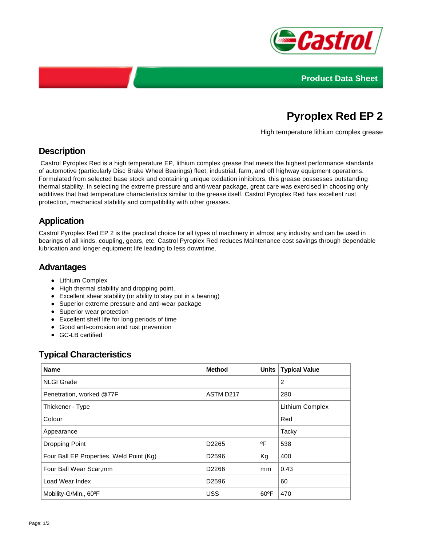



# **Pyroplex Red EP 2**

High temperature lithium complex grease

## **Description**

 Castrol Pyroplex Red is a high temperature EP, lithium complex grease that meets the highest performance standards of automotive (particularly Disc Brake Wheel Bearings) fleet, industrial, farm, and off highway equipment operations. Formulated from selected base stock and containing unique oxidation inhibitors, this grease possesses outstanding thermal stability. In selecting the extreme pressure and anti-wear package, great care was exercised in choosing only additives that had temperature characteristics similar to the grease itself. Castrol Pyroplex Red has excellent rust protection, mechanical stability and compatibility with other greases.

## **Application**

Castrol Pyroplex Red EP 2 is the practical choice for all types of machinery in almost any industry and can be used in bearings of all kinds, coupling, gears, etc. Castrol Pyroplex Red reduces Maintenance cost savings through dependable lubrication and longer equipment life leading to less downtime.

### **Advantages**

- Lithium Complex
- High thermal stability and dropping point.
- Excellent shear stability (or ability to stay put in a bearing)
- Superior extreme pressure and anti-wear package
- Superior wear protection
- Excellent shelf life for long periods of time
- Good anti-corrosion and rust prevention
- GC-LB certified

### **Typical Characteristics**

| <b>Name</b>                              | <b>Method</b>     | <b>Units</b>   | <b>Typical Value</b> |
|------------------------------------------|-------------------|----------------|----------------------|
| <b>NLGI Grade</b>                        |                   |                | 2                    |
| Penetration, worked @77F                 | ASTM D217         |                | 280                  |
| Thickener - Type                         |                   |                | Lithium Complex      |
| Colour                                   |                   |                | Red                  |
| Appearance                               |                   |                | Tacky                |
| Dropping Point                           | D2265             | ٥F             | 538                  |
| Four Ball EP Properties, Weld Point (Kg) | D <sub>2596</sub> | Kg             | 400                  |
| Four Ball Wear Scar, mm                  | D2266             | mm             | 0.43                 |
| Load Wear Index                          | D <sub>2596</sub> |                | 60                   |
| Mobility-G/Min., 60°F                    | <b>USS</b>        | $60^{\circ}$ F | 470                  |